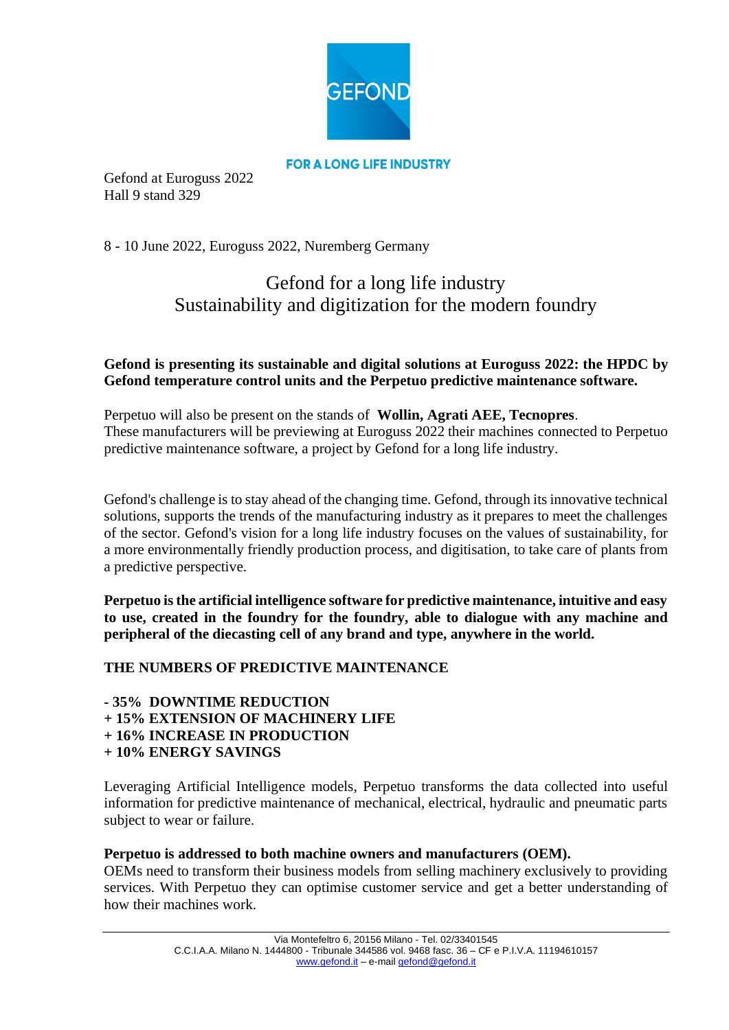

Gefond at Euroguss 2022 Hall 9 stand 329

8 - 10 June 2022, Euroguss 2022, Nuremberg Germany

# Gefond for a long life industry Sustainability and digitization for the modern foundry

# **Gefond is presenting its sustainable and digital solutions at Euroguss 2022: the HPDC by Gefond temperature control units and the Perpetuo predictive maintenance software.**

Perpetuo will also be present on the stands of **Wollin, Agrati AEE, Tecnopres**. These manufacturers will be previewing at Euroguss 2022 their machines connected to Perpetuo predictive maintenance software, a project by Gefond for a long life industry.

Gefond's challenge is to stay ahead of the changing time. Gefond, through its innovative technical solutions, supports the trends of the manufacturing industry as it prepares to meet the challenges of the sector. Gefond's vision for a long life industry focuses on the values of sustainability, for a more environmentally friendly production process, and digitisation, to take care of plants from a predictive perspective.

**Perpetuo is the artificial intelligence software for predictive maintenance, intuitive and easy to use, created in the foundry for the foundry, able to dialogue with any machine and peripheral of the diecasting cell of any brand and type, anywhere in the world.**

## **THE NUMBERS OF PREDICTIVE MAINTENANCE**

**- 35% DOWNTIME REDUCTION** 

- **+ 15% EXTENSION OF MACHINERY LIFE**
- **+ 16% INCREASE IN PRODUCTION**
- **+ 10% ENERGY SAVINGS**

Leveraging Artificial Intelligence models, Perpetuo transforms the data collected into useful information for predictive maintenance of mechanical, electrical, hydraulic and pneumatic parts subject to wear or failure.

## **Perpetuo is addressed to both machine owners and manufacturers (OEM).**

OEMs need to transform their business models from selling machinery exclusively to providing services. With Perpetuo they can optimise customer service and get a better understanding of how their machines work.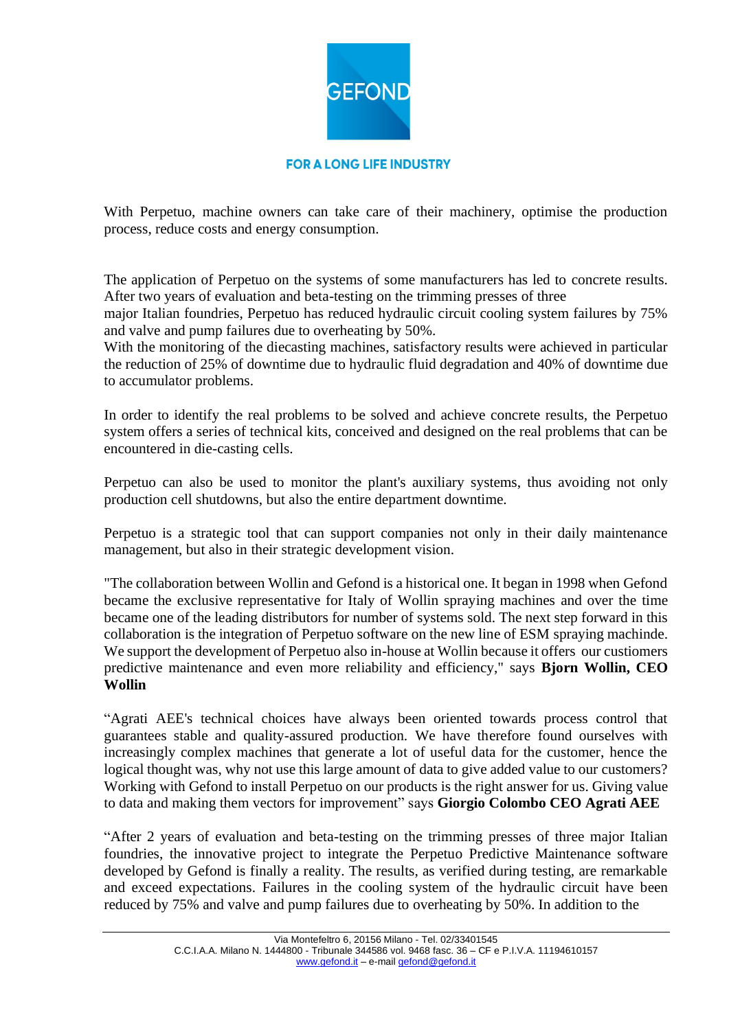

With Perpetuo, machine owners can take care of their machinery, optimise the production process, reduce costs and energy consumption.

The application of Perpetuo on the systems of some manufacturers has led to concrete results. After two years of evaluation and beta-testing on the trimming presses of three

major Italian foundries, Perpetuo has reduced hydraulic circuit cooling system failures by 75% and valve and pump failures due to overheating by 50%.

With the monitoring of the diecasting machines, satisfactory results were achieved in particular the reduction of 25% of downtime due to hydraulic fluid degradation and 40% of downtime due to accumulator problems.

In order to identify the real problems to be solved and achieve concrete results, the Perpetuo system offers a series of technical kits, conceived and designed on the real problems that can be encountered in die-casting cells.

Perpetuo can also be used to monitor the plant's auxiliary systems, thus avoiding not only production cell shutdowns, but also the entire department downtime.

Perpetuo is a strategic tool that can support companies not only in their daily maintenance management, but also in their strategic development vision.

"The collaboration between Wollin and Gefond is a historical one. It began in 1998 when Gefond became the exclusive representative for Italy of Wollin spraying machines and over the time became one of the leading distributors for number of systems sold. The next step forward in this collaboration is the integration of Perpetuo software on the new line of ESM spraying machinde. We support the development of Perpetuo also in-house at Wollin because it offers our custiomers predictive maintenance and even more reliability and efficiency," says **Bjorn Wollin, CEO Wollin** 

"Agrati AEE's technical choices have always been oriented towards process control that guarantees stable and quality-assured production. We have therefore found ourselves with increasingly complex machines that generate a lot of useful data for the customer, hence the logical thought was, why not use this large amount of data to give added value to our customers? Working with Gefond to install Perpetuo on our products is the right answer for us. Giving value to data and making them vectors for improvement" says **Giorgio Colombo CEO Agrati AEE**

"After 2 years of evaluation and beta-testing on the trimming presses of three major Italian foundries, the innovative project to integrate the Perpetuo Predictive Maintenance software developed by Gefond is finally a reality. The results, as verified during testing, are remarkable and exceed expectations. Failures in the cooling system of the hydraulic circuit have been reduced by 75% and valve and pump failures due to overheating by 50%. In addition to the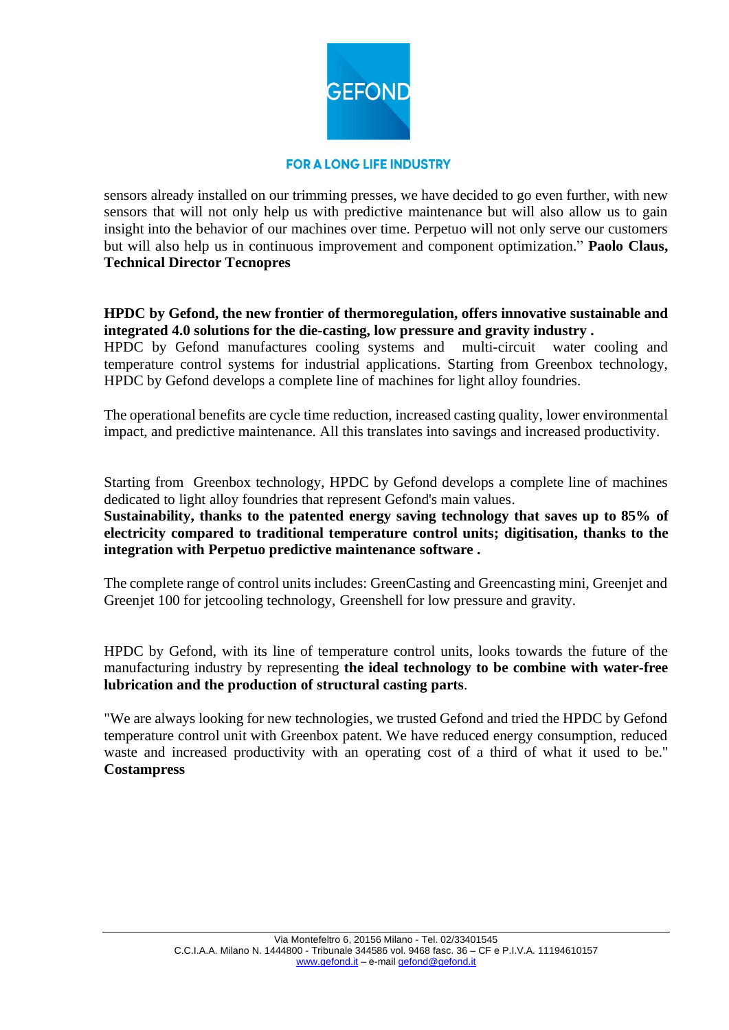

sensors already installed on our trimming presses, we have decided to go even further, with new sensors that will not only help us with predictive maintenance but will also allow us to gain insight into the behavior of our machines over time. Perpetuo will not only serve our customers but will also help us in continuous improvement and component optimization." **Paolo Claus, Technical Director Tecnopres** 

## **HPDC by Gefond, the new frontier of thermoregulation, offers innovative sustainable and integrated 4.0 solutions for the die-casting, low pressure and gravity industry .**

HPDC by Gefond manufactures cooling systems and multi-circuit water cooling and temperature control systems for industrial applications. Starting from Greenbox technology, HPDC by Gefond develops a complete line of machines for light alloy foundries.

The operational benefits are cycle time reduction, increased casting quality, lower environmental impact, and predictive maintenance. All this translates into savings and increased productivity.

Starting from Greenbox technology, HPDC by Gefond develops a complete line of machines dedicated to light alloy foundries that represent Gefond's main values.

**Sustainability, thanks to the patented energy saving technology that saves up to 85% of electricity compared to traditional temperature control units; digitisation, thanks to the integration with Perpetuo predictive maintenance software .**

The complete range of control units includes: GreenCasting and Greencasting mini, Greenjet and Greenjet 100 for jetcooling technology, Greenshell for low pressure and gravity.

HPDC by Gefond, with its line of temperature control units, looks towards the future of the manufacturing industry by representing **the ideal technology to be combine with water-free lubrication and the production of structural casting parts**.

"We are always looking for new technologies, we trusted Gefond and tried the HPDC by Gefond temperature control unit with Greenbox patent. We have reduced energy consumption, reduced waste and increased productivity with an operating cost of a third of what it used to be." **Costampress**